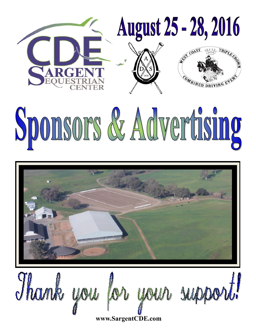

# Sponsors & Advertising



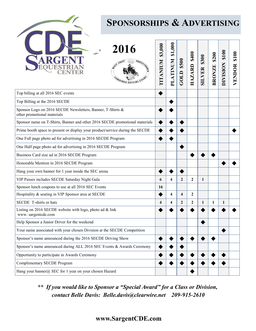

# **SPONSORSHIPS & ADVERTISING**

| 2016                                                                                      | \$3,000<br><b>NUINVILLE</b> | \$1,000<br><b>PLATINUM</b> | \$500<br>GOLD           | \$400<br>HAZARD | \$300<br>SILVER | \$200<br><b>BRONZE</b> | \$100<br><b>DIVISION</b> | \$100<br>VENDOR |
|-------------------------------------------------------------------------------------------|-----------------------------|----------------------------|-------------------------|-----------------|-----------------|------------------------|--------------------------|-----------------|
| Top billing at all 2016 SEC events                                                        |                             |                            |                         |                 |                 |                        |                          |                 |
| Top Billing at the 2016 SECDE                                                             |                             |                            |                         |                 |                 |                        |                          |                 |
| Sponsor Logo on 2016 SECDE Newsletters, Banner, T-Shirts &<br>other promotional materials |                             |                            |                         |                 |                 |                        |                          |                 |
| Sponsor name on T-Shirts, Banner and other 2016 SECDE promotional materials               |                             |                            |                         |                 |                 |                        |                          |                 |
| Prime booth space to present or display your product/service during the SECDE             |                             |                            |                         |                 |                 |                        |                          |                 |
| One Full page photo ad for advertising in 2016 SECDE Program                              |                             |                            |                         |                 |                 |                        |                          |                 |
| One Half page photo ad for advertising in 2016 SECDE Program                              |                             |                            |                         |                 |                 |                        |                          |                 |
| Business Card size ad in 2016 SECDE Program                                               |                             |                            |                         |                 |                 |                        |                          |                 |
| Honorable Mention in 2016 SECDE Program                                                   |                             |                            |                         |                 |                 |                        |                          |                 |
| Hang your own banner for 1 year inside the SEC arena                                      |                             |                            |                         |                 |                 |                        |                          |                 |
| VIP Passes includes SECDE Saturday Night Gala                                             | 6                           | 4                          | $\overline{2}$          | $\overline{2}$  | $\mathbf{1}$    |                        |                          |                 |
| Sponsor lunch coupons to use at all 2016 SEC Events                                       | 16                          |                            |                         |                 |                 |                        |                          |                 |
| Hospitality & seating in VIP Sponsor area at SECDE                                        |                             | 4                          | $\overline{\mathbf{4}}$ | $\mathbf{2}$    |                 |                        |                          |                 |
| SECDE T-shirts or hats                                                                    | 4                           | 4                          | $\overline{2}$          | $\overline{2}$  | $\mathbf{1}$    | 1                      | 1                        |                 |
| Listing on 2016 SECDE website with logo, photo ad & link<br>www.sargentcde.com            |                             |                            |                         |                 |                 |                        |                          |                 |
| Help Sponsor a Junior Driver for the weekend                                              |                             |                            |                         |                 |                 |                        |                          |                 |
| Your name associated with your chosen Division at the SECDE Competition                   |                             |                            |                         |                 |                 |                        |                          |                 |
| Sponsor's name announced during the 2016 SECDE Driving Show                               |                             |                            |                         |                 |                 |                        |                          |                 |
| Sponsor's name announced during ALL 2016 SEC Events & Awards Ceremony                     |                             |                            |                         |                 |                 |                        |                          |                 |
| Opportunity to participate in Awards Ceremony                                             |                             |                            |                         |                 |                 |                        |                          |                 |
| <b>Complimentary SECDE Program</b>                                                        |                             |                            |                         |                 |                 |                        |                          |                 |
| Hang your banner@ SEC for 1 year on your chosen Hazard                                    |                             |                            |                         |                 |                 |                        |                          |                 |

*\*\* If you would like to Sponsor a "Special Award" for a Class or Division, contact Belle Davis: Belle.davis@clearwire.net 209-915-2610*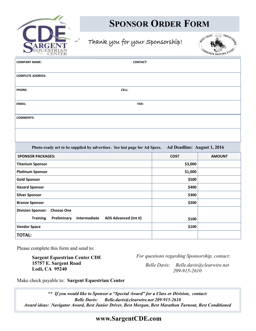

# **SPONSOR ORDER FORM**

## Thank you for your Sponsorship!



| CEINIER                                                                                                  |             | $\sim$ DRIVIS |  |  |  |
|----------------------------------------------------------------------------------------------------------|-------------|---------------|--|--|--|
| <b>COMPANY NAME:</b><br><b>CONTACT:</b>                                                                  |             |               |  |  |  |
| <b>COMPLETE ADDRESS:</b>                                                                                 |             |               |  |  |  |
| CELL:<br><b>PHONE:</b>                                                                                   |             |               |  |  |  |
| <b>EMAIL:</b><br>FAX:                                                                                    |             |               |  |  |  |
| <b>COMMENTS:</b>                                                                                         |             |               |  |  |  |
|                                                                                                          |             |               |  |  |  |
| Ad Deadline: August 1, 2016<br>Photo-ready art to be supplied by advertiser. See last page for Ad Specs. |             |               |  |  |  |
| <b>SPONSOR PACKAGES:</b>                                                                                 | <b>COST</b> | <b>AMOUNT</b> |  |  |  |
| <b>Titanium Sponsor</b>                                                                                  | \$3,000     |               |  |  |  |
| <b>Platinum Sponsor</b>                                                                                  | \$1,000     |               |  |  |  |
| <b>Gold Sponsor</b>                                                                                      | \$500       |               |  |  |  |
| <b>Hazard Sponsor</b>                                                                                    | \$400       |               |  |  |  |
| <b>Silver Sponsor</b>                                                                                    | \$300       |               |  |  |  |
| <b>Bronze Sponsor</b>                                                                                    | \$200       |               |  |  |  |
| Dictation Company Channel Only                                                                           |             |               |  |  |  |

| <b>Bronze Sponsor</b>                                                | \$200 |  |
|----------------------------------------------------------------------|-------|--|
| <b>Division Sponsor: Choose One</b>                                  |       |  |
| Intermediate ADS Advanced (Int II)<br>Preliminary<br><b>Training</b> | \$100 |  |
| <b>Vendor Space</b>                                                  | \$100 |  |
| <b>TOTAL:</b>                                                        |       |  |

Please complete this form and send to:

**Sargent Equestrian Center CDE 15757 E. Sargent Road Lodi, CA 95240**

*For questions regarding Sponsorship, contact:*

*Belle Davis: Belle.davis@clearwire.net 209-915-2610*

Make check payable to: **Sargent Equestrian Center**

*\*\* If you would like to Sponsor a "Special Award" for a Class or Division, contact: Belle Davis: Belle.davis@clearwire.net 209-915-2610 Award ideas: Navigator Award, Best Junior Driver, Best Morgan, Best Marathon Turnout, Best Conditioned*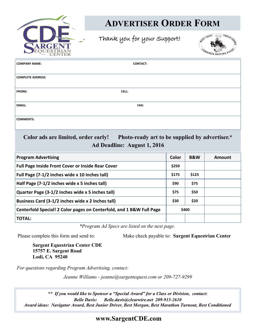

# **ADVERTISER ORDER FORM**

Thank you for your Support!



| <b>COMPANY NAME:</b>          | <b>CONTACT:</b> |
|-------------------------------|-----------------|
|                               |                 |
| <b>COMPLETE ADDRESS:</b>      |                 |
|                               |                 |
| <b>PHONE:</b><br><b>CELL:</b> |                 |
|                               |                 |
| <b>EMAIL:</b>                 | <b>FAX:</b>     |
|                               |                 |
| <b>COMMENTS:</b>              |                 |
|                               |                 |
|                               |                 |

### **Color ads are limited, order early! Photo-ready art to be supplied by advertiser.\* Ad Deadline: August 1, 2016**

| <b>Program Advertising</b>                                           | Color | <b>B&amp;W</b> | Amount |
|----------------------------------------------------------------------|-------|----------------|--------|
| Full Page Inside Front Cover or Inside Rear Cover                    | \$250 |                |        |
| Full Page (7-1/2 inches wide x 10 inches tall)                       | \$175 | \$125          |        |
| Half Page (7-1/2 inches wide x 5 inches tall)                        | \$90  | \$75           |        |
| Quarter Page (3-1/2 inches wide x 5 inches tall)                     | \$75  | \$50           |        |
| Business Card (3-1/2 inches wide x 2 inches tall)                    | \$30  | \$20           |        |
| Centerfold Special! 2 Color pages on Centerfold, and 1 B&W Full Page |       | \$400          |        |
| <b>TOTAL:</b>                                                        |       |                |        |

*\*Program Ad Specs are listed on the next page.*

Please complete this form and send to: Make check payable to: **Sargent Equestrian Center**

**Sargent Equestrian Center CDE 15757 E. Sargent Road Lodi, CA 95240**

*For questions regarding Program Advertising, contact:*

*Jeanne Williams - jeanne@sargentequest.com or 209-727-9299*

*\*\* If you would like to Sponsor a "Special Award" for a Class or Division, contact: Belle Davis: Belle.davis@clearwire.net 209-915-2610 Award ideas: Navigator Award, Best Junior Driver, Best Morgan, Best Marathon Turnout, Best Conditioned*